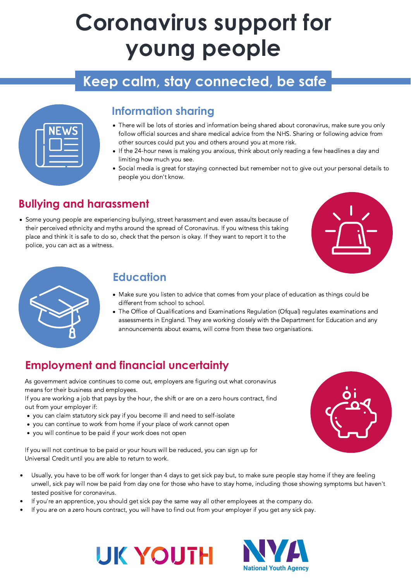# **Coronavirus support for young people**

## **Keep calm, stay connected, be safe**

| <b>KNEWS</b> |  |
|--------------|--|
|              |  |
|              |  |

### **Information sharing**

- There will be lots of stories and information being shared about coronavirus, make sure you only follow official sources and share medical advice from the NHS. Sharing or following advice from other sources could put you and others around you at more risk.
- If the 24-hour news is making you anxious, think about only reading a few headlines a day and limiting how much you see.
- Social media is great for staying connected but remember not to give out your personal details to people you don't know.

Some young people are experiencing bullying, street harassment and even assaults because of their perceived ethnicity and myths around the spread of Coronavirus. If you witness this taking place and think it is safe to do so, check that the person is okay. If they want to report it to the police, you can act as a witness.





## **Bullying and harassment**

- Make sure you listen to advice that comes from your place of education as things could be different from school to school.
- The Office of Qualifications and Examinations Regulation (Ofqual) regulates examinations and assessments in England. They are working closely with the Department for Education and any announcements about exams, will come from these two organisations.

## **Education**

- you can claim statutory sick pay if you become ill and need to self-isolate
- you can continue to work from home if your place of work cannot open
- you will continue to be paid if your work does not open

As government advice continues to come out, employers are figuring out what coronavirus means for their business and employees.

If you are working a job that pays by the hour, the shift or are on a zero hours contract, find out from your employer if:

If you will not continue to be paid or your hours will be reduced, you can sign up for Universal Credit until you are able to return to work.



### **Employment and financial uncertainty**

- Usually, you have to be off work for longer than 4 days to get sick pay but, to make sure people stay home if they are feeling  $\bullet$ unwell, sick pay will now be paid from day one for those who have to stay home, including those showing symptoms but haven't tested positive for coronavirus.
- If you're an apprentice, you should get sick pay the same way all other employees at the company do.
- If you are on a zero hours contract, you will have to find out from your employer if you get any sick pay.